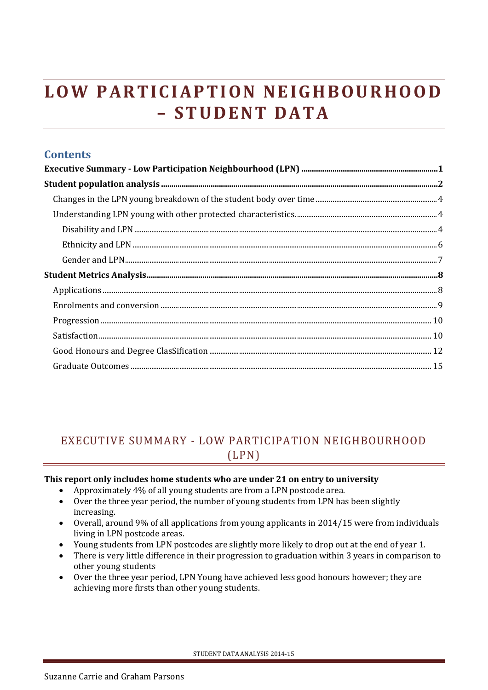# LOW PARTICIAPTION NEIGHBOURHOOD **– S T U D E N T D A T A**

| <b>Contents</b> |  |
|-----------------|--|
|                 |  |
|                 |  |
|                 |  |
|                 |  |
|                 |  |
|                 |  |
|                 |  |
|                 |  |
|                 |  |
|                 |  |
|                 |  |
|                 |  |
|                 |  |
|                 |  |
|                 |  |

# <span id="page-0-0"></span>EXECUTIVE SUMMARY - LOW PARTICIPATION NEIGHBOURHOOD (LPN)

#### **This report only includes home students who are under 21 on entry to university**

- Approximately 4% of all young students are from a LPN postcode area.
- Over the three year period, the number of young students from LPN has been slightly increasing.
- Overall, around 9% of all applications from young applicants in 2014/15 were from individuals living in LPN postcode areas.
- Young students from LPN postcodes are slightly more likely to drop out at the end of year 1.
- There is very little difference in their progression to graduation within 3 years in comparison to other young students
- Over the three year period, LPN Young have achieved less good honours however; they are achieving more firsts than other young students.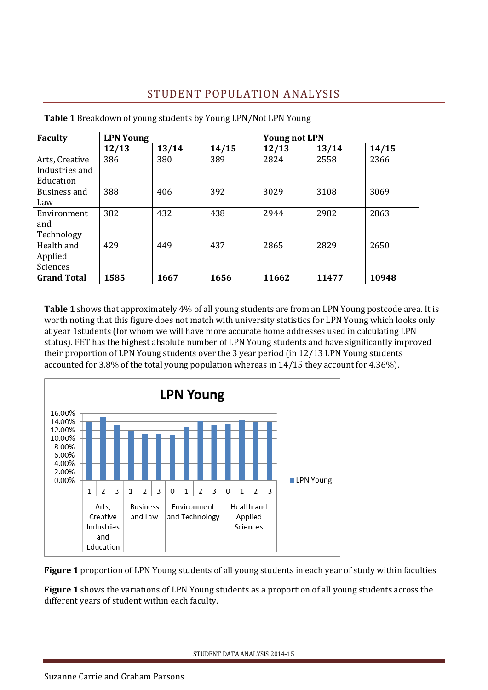## STUDENT POPULATION ANALYSIS

| <b>Faculty</b>                                | <b>LPN Young</b> |       |       | <b>Young not LPN</b> |       |       |
|-----------------------------------------------|------------------|-------|-------|----------------------|-------|-------|
|                                               | 12/13            | 13/14 | 14/15 | 12/13                | 13/14 | 14/15 |
| Arts, Creative<br>Industries and<br>Education | 386              | 380   | 389   | 2824                 | 2558  | 2366  |
| Business and<br>Law                           | 388              | 406   | 392   | 3029                 | 3108  | 3069  |
| Environment<br>and<br>Technology              | 382              | 432   | 438   | 2944                 | 2982  | 2863  |
| Health and<br>Applied<br>Sciences             | 429              | 449   | 437   | 2865                 | 2829  | 2650  |
| <b>Grand Total</b>                            | 1585             | 1667  | 1656  | 11662                | 11477 | 10948 |

<span id="page-1-0"></span>**Table 1** Breakdown of young students by Young LPN/Not LPN Young

**Table 1** shows that approximately 4% of all young students are from an LPN Young postcode area. It is worth noting that this figure does not match with university statistics for LPN Young which looks only at year 1students (for whom we will have more accurate home addresses used in calculating LPN status). FET has the highest absolute number of LPN Young students and have significantly improved their proportion of LPN Young students over the 3 year period (in 12/13 LPN Young students accounted for 3.8% of the total young population whereas in 14/15 they account for 4.36%).



**Figure 1** proportion of LPN Young students of all young students in each year of study within faculties

**Figure 1** shows the variations of LPN Young students as a proportion of all young students across the different years of student within each faculty.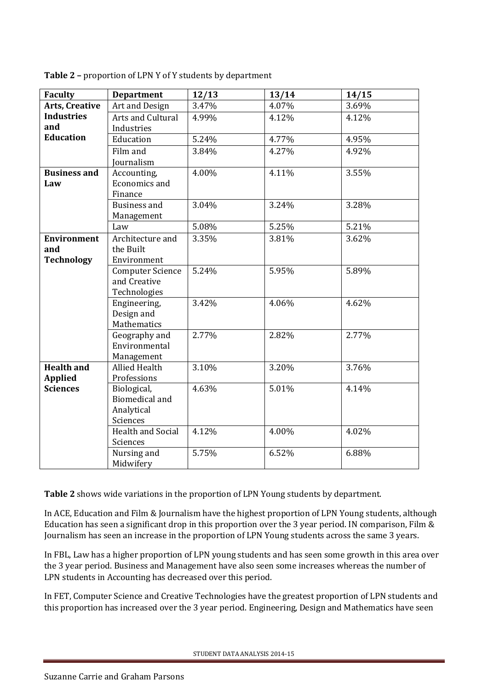| <b>Faculty</b>        | <b>Department</b>        | 12/13 | 13/14 | 14/15 |
|-----------------------|--------------------------|-------|-------|-------|
| <b>Arts, Creative</b> | Art and Design           | 3.47% | 4.07% | 3.69% |
| <b>Industries</b>     | Arts and Cultural        | 4.99% | 4.12% | 4.12% |
| and                   | Industries               |       |       |       |
| <b>Education</b>      | Education                | 5.24% | 4.77% | 4.95% |
|                       | Film and                 | 3.84% | 4.27% | 4.92% |
|                       | <b>Journalism</b>        |       |       |       |
| <b>Business and</b>   | Accounting,              | 4.00% | 4.11% | 3.55% |
| Law                   | Economics and            |       |       |       |
|                       | Finance                  |       |       |       |
|                       | <b>Business and</b>      | 3.04% | 3.24% | 3.28% |
|                       | Management               |       |       |       |
|                       | Law                      | 5.08% | 5.25% | 5.21% |
| <b>Environment</b>    | Architecture and         | 3.35% | 3.81% | 3.62% |
| and                   | the Built                |       |       |       |
| <b>Technology</b>     | Environment              |       |       |       |
|                       | <b>Computer Science</b>  | 5.24% | 5.95% | 5.89% |
|                       | and Creative             |       |       |       |
|                       | Technologies             |       |       |       |
|                       | Engineering,             | 3.42% | 4.06% | 4.62% |
|                       | Design and               |       |       |       |
|                       | Mathematics              |       |       |       |
|                       | Geography and            | 2.77% | 2.82% | 2.77% |
|                       | Environmental            |       |       |       |
|                       | Management               |       |       |       |
| <b>Health and</b>     | <b>Allied Health</b>     | 3.10% | 3.20% | 3.76% |
| <b>Applied</b>        | Professions              |       |       |       |
| <b>Sciences</b>       | Biological,              | 4.63% | 5.01% | 4.14% |
|                       | <b>Biomedical and</b>    |       |       |       |
|                       | Analytical               |       |       |       |
|                       | Sciences                 |       |       |       |
|                       | <b>Health and Social</b> | 4.12% | 4.00% | 4.02% |
|                       | Sciences                 |       |       |       |
|                       | Nursing and              | 5.75% | 6.52% | 6.88% |
|                       | Midwifery                |       |       |       |

**Table 2 –** proportion of LPN Y of Y students by department

**Table 2** shows wide variations in the proportion of LPN Young students by department.

In ACE, Education and Film & Journalism have the highest proportion of LPN Young students, although Education has seen a significant drop in this proportion over the 3 year period. IN comparison, Film & Journalism has seen an increase in the proportion of LPN Young students across the same 3 years.

In FBL, Law has a higher proportion of LPN young students and has seen some growth in this area over the 3 year period. Business and Management have also seen some increases whereas the number of LPN students in Accounting has decreased over this period.

In FET, Computer Science and Creative Technologies have the greatest proportion of LPN students and this proportion has increased over the 3 year period. Engineering, Design and Mathematics have seen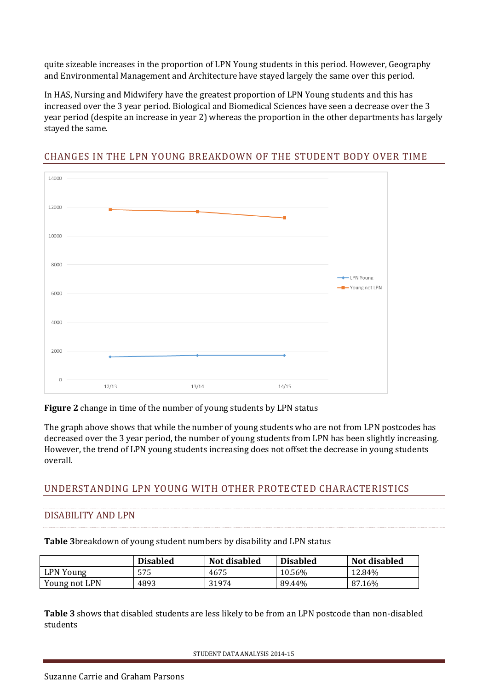quite sizeable increases in the proportion of LPN Young students in this period. However, Geography and Environmental Management and Architecture have stayed largely the same over this period.

In HAS, Nursing and Midwifery have the greatest proportion of LPN Young students and this has increased over the 3 year period. Biological and Biomedical Sciences have seen a decrease over the 3 year period (despite an increase in year 2) whereas the proportion in the other departments has largely stayed the same.



## <span id="page-3-0"></span>CHANGES IN THE LPN YOUNG BREAKDOWN OF THE STUDENT BODY OVER TIME

**Figure 2** change in time of the number of young students by LPN status

The graph above shows that while the number of young students who are not from LPN postcodes has decreased over the 3 year period, the number of young students from LPN has been slightly increasing. However, the trend of LPN young students increasing does not offset the decrease in young students overall.

## <span id="page-3-1"></span>UNDERSTANDING LPN YOUNG WITH OTHER PROTECTED CHARACTERISTICS

#### <span id="page-3-2"></span>DISABILITY AND LPN

**Table 3**breakdown of young student numbers by disability and LPN status

|               | <b>Disabled</b> | Not disabled | <b>Disabled</b> | Not disabled |
|---------------|-----------------|--------------|-----------------|--------------|
| LPN Young     | 575             | 4675         | 10.56%          | 12.84%       |
| Young not LPN | 4893            | 31974        | 89.44%          | 87.16%       |

**Table 3** shows that disabled students are less likely to be from an LPN postcode than non-disabled students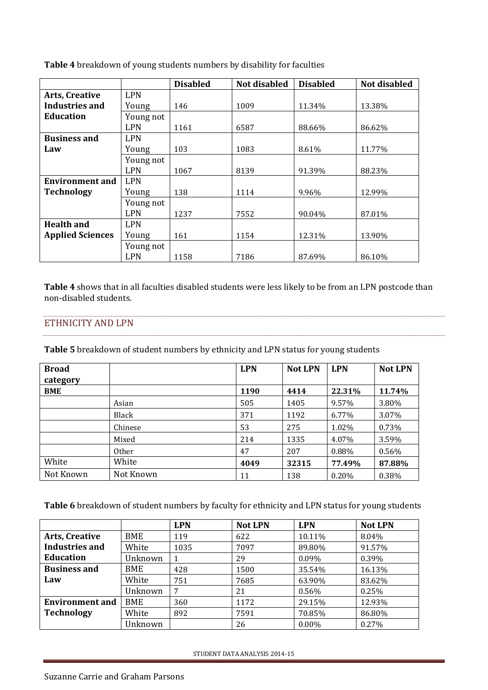|                         |            | <b>Disabled</b> | <b>Not disabled</b> | <b>Disabled</b> | Not disabled |
|-------------------------|------------|-----------------|---------------------|-----------------|--------------|
| <b>Arts, Creative</b>   | <b>LPN</b> |                 |                     |                 |              |
| Industries and          | Young      | 146             | 1009                | 11.34%          | 13.38%       |
| Education               | Young not  |                 |                     |                 |              |
|                         | <b>LPN</b> | 1161            | 6587                | 88.66%          | 86.62%       |
| <b>Business and</b>     | <b>LPN</b> |                 |                     |                 |              |
| Law                     | Young      | 103             | 1083                | 8.61%           | 11.77%       |
|                         | Young not  |                 |                     |                 |              |
|                         | <b>LPN</b> | 1067            | 8139                | 91.39%          | 88.23%       |
| <b>Environment and</b>  | <b>LPN</b> |                 |                     |                 |              |
| <b>Technology</b>       | Young      | 138             | 1114                | 9.96%           | 12.99%       |
|                         | Young not  |                 |                     |                 |              |
|                         | <b>LPN</b> | 1237            | 7552                | 90.04%          | 87.01%       |
| <b>Health and</b>       | <b>LPN</b> |                 |                     |                 |              |
| <b>Applied Sciences</b> | Young      | 161             | 1154                | 12.31%          | 13.90%       |
|                         | Young not  |                 |                     |                 |              |
|                         | <b>LPN</b> | 1158            | 7186                | 87.69%          | 86.10%       |

**Table 4** breakdown of young students numbers by disability for faculties

**Table 4** shows that in all faculties disabled students were less likely to be from an LPN postcode than non-disabled students.

#### <span id="page-5-0"></span>ETHNICITY AND LPN

**Table 5** breakdown of student numbers by ethnicity and LPN status for young students

| <b>Broad</b><br>category |           | <b>LPN</b> | <b>Not LPN</b> | <b>LPN</b> | <b>Not LPN</b> |
|--------------------------|-----------|------------|----------------|------------|----------------|
| <b>BME</b>               |           | 1190       | 4414           | 22.31%     | 11.74%         |
|                          | Asian     | 505        | 1405           | 9.57%      | 3.80%          |
|                          | Black     | 371        | 1192           | 6.77%      | 3.07%          |
|                          | Chinese   | 53         | 275            | 1.02%      | 0.73%          |
|                          | Mixed     | 214        | 1335           | 4.07%      | 3.59%          |
|                          | Other     | 47         | 207            | 0.88%      | 0.56%          |
| White                    | White     | 4049       | 32315          | 77.49%     | 87.88%         |
| Not Known                | Not Known | 11         | 138            | 0.20%      | 0.38%          |

**Table 6** breakdown of student numbers by faculty for ethnicity and LPN status for young students

|                        |            | <b>LPN</b> | <b>Not LPN</b> | <b>LPN</b> | <b>Not LPN</b> |
|------------------------|------------|------------|----------------|------------|----------------|
| <b>Arts, Creative</b>  | BME        | 119        | 622            | 10.11%     | 8.04%          |
| <b>Industries and</b>  | White      | 1035       | 7097           | 89.80%     | 91.57%         |
| <b>Education</b>       | Unknown    |            | 29             | $0.09\%$   | 0.39%          |
| <b>Business and</b>    | BME        | 428        | 1500           | 35.54%     | 16.13%         |
| Law                    | White      | 751        | 7685           | 63.90%     | 83.62%         |
|                        | Unknown    | 7          | 21             | 0.56%      | 0.25%          |
| <b>Environment and</b> | <b>BME</b> | 360        | 1172           | 29.15%     | 12.93%         |
| <b>Technology</b>      | White      | 892        | 7591           | 70.85%     | 86.80%         |
|                        | Jnknown    |            | 26             | $0.00\%$   | $0.27\%$       |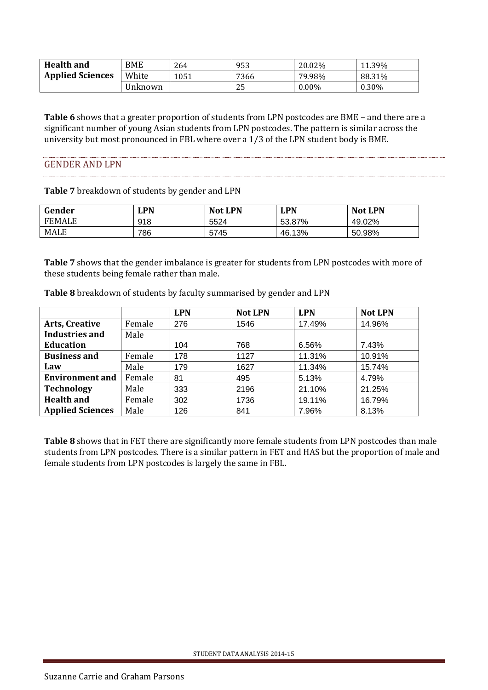| <b>Health and</b>       | <b>BME</b> | 264  | 953  | 20.02%   | 11.39% |
|-------------------------|------------|------|------|----------|--------|
| <b>Applied Sciences</b> | White      | 1051 | 7366 | 79.98%   | 88.31% |
|                         | Unknown    |      | 25   | $0.00\%$ | 0.30%  |

**Table 6** shows that a greater proportion of students from LPN postcodes are BME – and there are a significant number of young Asian students from LPN postcodes. The pattern is similar across the university but most pronounced in FBL where over a 1/3 of the LPN student body is BME.

#### <span id="page-6-0"></span>GENDER AND LPN

**Table 7** breakdown of students by gender and LPN

| Gender        | LPN | <b>Not LPN</b> | <b>LPN</b> | <b>Not LPN</b> |
|---------------|-----|----------------|------------|----------------|
| <b>FEMALE</b> | 918 | 5524           | 53.87%     | 49.02%         |
| MALE          | 786 | 5745           | 46.13%     | 50.98%         |

**Table 7** shows that the gender imbalance is greater for students from LPN postcodes with more of these students being female rather than male.

|                         |        | <b>LPN</b> | <b>Not LPN</b> | <b>LPN</b> | <b>Not LPN</b> |
|-------------------------|--------|------------|----------------|------------|----------------|
| <b>Arts, Creative</b>   | Female | 276        | 1546           | 17.49%     | 14.96%         |
| Industries and          | Male   |            |                |            |                |
| <b>Education</b>        |        | 104        | 768            | 6.56%      | 7.43%          |
| <b>Business and</b>     | Female | 178        | 1127           | 11.31%     | 10.91%         |
| Law                     | Male   | 179        | 1627           | 11.34%     | 15.74%         |
| <b>Environment and</b>  | Female | 81         | 495            | 5.13%      | 4.79%          |
| <b>Technology</b>       | Male   | 333        | 2196           | 21.10%     | 21.25%         |
| <b>Health and</b>       | Female | 302        | 1736           | 19.11%     | 16.79%         |
| <b>Applied Sciences</b> | Male   | 126        | 841            | 7.96%      | 8.13%          |

**Table 8** breakdown of students by faculty summarised by gender and LPN

**Table 8** shows that in FET there are significantly more female students from LPN postcodes than male students from LPN postcodes. There is a similar pattern in FET and HAS but the proportion of male and female students from LPN postcodes is largely the same in FBL.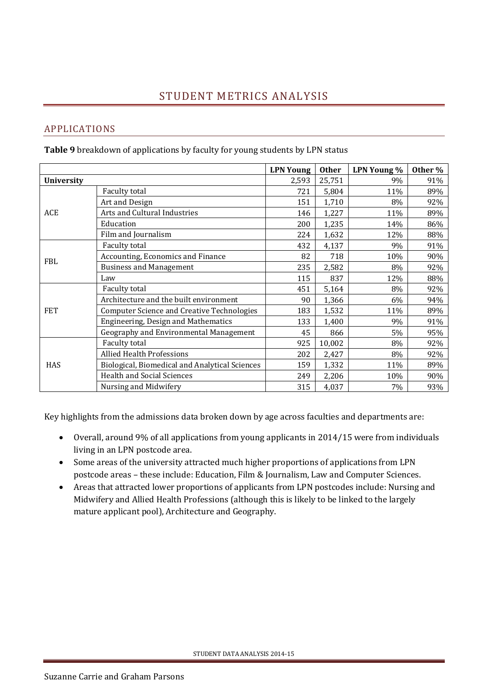## <span id="page-7-1"></span><span id="page-7-0"></span>APPLICATIONS

**Table 9** breakdown of applications by faculty for young students by LPN status

|                   |                                                   | <b>LPN Young</b> | <b>Other</b> | LPN Young % | Other % |
|-------------------|---------------------------------------------------|------------------|--------------|-------------|---------|
| <b>University</b> |                                                   | 2,593            | 25,751       | 9%          | 91%     |
|                   | Faculty total                                     | 721              | 5,804        | 11%         | 89%     |
|                   | Art and Design                                    | 151              | 1,710        | 8%          | 92%     |
| ACE               | Arts and Cultural Industries                      | 146              | 1,227        | 11%         | 89%     |
|                   | Education                                         | 200              | 1,235        | 14%         | 86%     |
|                   | Film and Journalism                               | 224              | 1,632        | 12%         | 88%     |
|                   | Faculty total                                     | 432              | 4,137        | 9%          | 91%     |
| <b>FBL</b>        | Accounting, Economics and Finance                 | 82               | 718          | 10%         | 90%     |
|                   | <b>Business and Management</b>                    | 235              | 2,582        | 8%          | 92%     |
|                   | Law                                               | 115              | 837          | 12%         | 88%     |
|                   | Faculty total                                     | 451              | 5,164        | 8%          | 92%     |
|                   | Architecture and the built environment            | 90               | 1,366        | 6%          | 94%     |
| <b>FET</b>        | <b>Computer Science and Creative Technologies</b> | 183              | 1,532        | 11%         | 89%     |
|                   | Engineering, Design and Mathematics               | 133              | 1,400        | 9%          | 91%     |
|                   | Geography and Environmental Management            | 45               | 866          | 5%          | 95%     |
|                   | Faculty total                                     | 925              | 10,002       | 8%          | 92%     |
| <b>HAS</b>        | <b>Allied Health Professions</b>                  | 202              | 2,427        | 8%          | 92%     |
|                   | Biological, Biomedical and Analytical Sciences    | 159              | 1,332        | 11%         | 89%     |
|                   | <b>Health and Social Sciences</b>                 | 249              | 2,206        | 10%         | 90%     |
|                   | Nursing and Midwifery                             | 315              | 4,037        | 7%          | 93%     |

Key highlights from the admissions data broken down by age across faculties and departments are:

- Overall, around 9% of all applications from young applicants in 2014/15 were from individuals living in an LPN postcode area.
- Some areas of the university attracted much higher proportions of applications from LPN postcode areas – these include: Education, Film & Journalism, Law and Computer Sciences.
- Areas that attracted lower proportions of applicants from LPN postcodes include: Nursing and Midwifery and Allied Health Professions (although this is likely to be linked to the largely mature applicant pool), Architecture and Geography.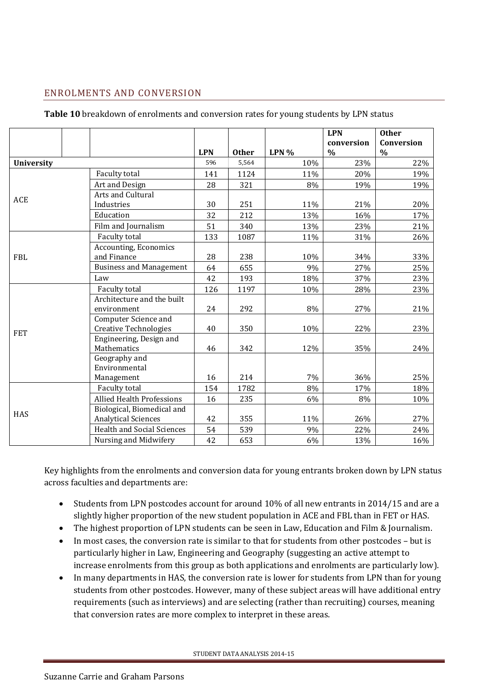## <span id="page-8-0"></span>ENROLMENTS AND CONVERSION

| Table 10 breakdown of enrolments and conversion rates for young students by LPN status |  |
|----------------------------------------------------------------------------------------|--|
|                                                                                        |  |

|                   |                                   |            |              |      | <b>LPN</b> | <b>Other</b> |
|-------------------|-----------------------------------|------------|--------------|------|------------|--------------|
|                   |                                   |            |              |      | conversion | Conversion   |
|                   |                                   | <b>LPN</b> | <b>Other</b> | LPN% | $\%$       | $\%$         |
| <b>University</b> |                                   | 596        | 5,564        | 10%  | 23%        | 22%          |
|                   | Faculty total                     | 141        | 1124         | 11%  | 20%        | 19%          |
|                   | Art and Design                    | 28         | 321          | 8%   | 19%        | 19%          |
| ACE               | Arts and Cultural                 |            |              |      |            |              |
|                   | Industries                        | 30         | 251          | 11%  | 21%        | 20%          |
|                   | Education                         | 32         | 212          | 13%  | 16%        | 17%          |
|                   | Film and Journalism               | 51         | 340          | 13%  | 23%        | 21%          |
|                   | Faculty total                     | 133        | 1087         | 11%  | 31%        | 26%          |
|                   | Accounting, Economics             |            |              |      |            |              |
| <b>FBL</b>        | and Finance                       | 28         | 238          | 10%  | 34%        | 33%          |
|                   | <b>Business and Management</b>    | 64         | 655          | 9%   | 27%        | 25%          |
|                   | Law                               | 42         | 193          | 18%  | 37%        | 23%          |
|                   | Faculty total                     | 126        | 1197         | 10%  | 28%        | 23%          |
|                   | Architecture and the built        |            |              |      |            |              |
|                   | environment                       | 24         | 292          | 8%   | 27%        | 21%          |
|                   | Computer Science and              |            |              |      |            |              |
| <b>FET</b>        | <b>Creative Technologies</b>      | 40         | 350          | 10%  | 22%        | 23%          |
|                   | Engineering, Design and           |            |              |      |            |              |
|                   | Mathematics                       | 46         | 342          | 12%  | 35%        | 24%          |
|                   | Geography and                     |            |              |      |            |              |
|                   | Environmental                     |            |              |      |            |              |
|                   | Management                        | 16         | 214          | 7%   | 36%        | 25%          |
|                   | Faculty total                     | 154        | 1782         | 8%   | 17%        | 18%          |
|                   | <b>Allied Health Professions</b>  | 16         | 235          | 6%   | 8%         | 10%          |
| HAS               | Biological, Biomedical and        |            |              |      |            |              |
|                   | <b>Analytical Sciences</b>        | 42         | 355          | 11%  | 26%        | 27%          |
|                   | <b>Health and Social Sciences</b> | 54         | 539          | 9%   | 22%        | 24%          |
|                   | Nursing and Midwifery             | 42         | 653          | 6%   | 13%        | 16%          |

Key highlights from the enrolments and conversion data for young entrants broken down by LPN status across faculties and departments are:

- Students from LPN postcodes account for around 10% of all new entrants in 2014/15 and are a slightly higher proportion of the new student population in ACE and FBL than in FET or HAS.
- The highest proportion of LPN students can be seen in Law, Education and Film & Journalism.
- In most cases, the conversion rate is similar to that for students from other postcodes but is particularly higher in Law, Engineering and Geography (suggesting an active attempt to increase enrolments from this group as both applications and enrolments are particularly low).
- In many departments in HAS, the conversion rate is lower for students from LPN than for young students from other postcodes. However, many of these subject areas will have additional entry requirements (such as interviews) and are selecting (rather than recruiting) courses, meaning that conversion rates are more complex to interpret in these areas.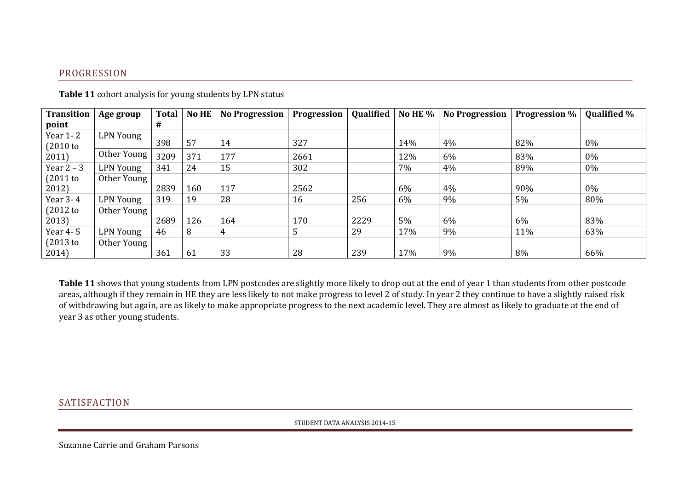### PROGRESSION

| <b>Transition</b>    | Age group        | <b>Total</b> | <b>No HE</b> | <b>No Progression</b> | <b>Progression</b> | Qualified | No HE $%$ | <b>No Progression</b> | <b>Progression</b> % | <b>Qualified %</b> |
|----------------------|------------------|--------------|--------------|-----------------------|--------------------|-----------|-----------|-----------------------|----------------------|--------------------|
| point                |                  | #            |              |                       |                    |           |           |                       |                      |                    |
| Year 1-2<br>(2010 to | LPN Young        | 398          | 57           | 14                    | 327                |           | 14%       | 4%                    | 82%                  | $0\%$              |
| 2011)                | Other Young      | 3209         | 371          | 177                   | 2661               |           | 12%       | 6%                    | 83%                  | 0%                 |
| Year $2 - 3$         | <b>LPN Young</b> | 341          | 24           | 15                    | 302                |           | 7%        | 4%                    | 89%                  | 0%                 |
| (2011 to             | Other Young      |              |              |                       |                    |           |           |                       |                      |                    |
| 2012)                |                  | 2839         | 160          | 117                   | 2562               |           | 6%        | 4%                    | 90%                  | $0\%$              |
| Year 3-4             | LPN Young        | 319          | 19           | 28                    | 16                 | 256       | 6%        | 9%                    | 5%                   | 80%                |
| (2012 to             | Other Young      |              |              |                       |                    |           |           |                       |                      |                    |
| 2013)                |                  | 2689         | 126          | 164                   | 170                | 2229      | 5%        | 6%                    | 6%                   | 83%                |
| Year 4-5             | <b>LPN Young</b> | 46           | 8            | 4                     |                    | 29        | 17%       | 9%                    | 11%                  | 63%                |
| (2013 to             | Other Young      |              |              |                       |                    |           |           |                       |                      |                    |
| 2014)                |                  | 361          | 61           | 33                    | 28                 | 239       | 17%       | 9%                    | 8%                   | 66%                |

**Table 11** cohort analysis for young students by LPN status

<span id="page-9-0"></span>**Table 11** shows that young students from LPN postcodes are slightly more likely to drop out at the end of year 1 than students from other postcode areas, although if they remain in HE they are less likely to not make progress to level 2 of study. In year 2 they continue to have a slightly raised risk of withdrawing but again, are as likely to make appropriate progress to the next academic level. They are almost as likely to graduate at the end of year 3 as other young students.

#### <span id="page-9-1"></span>**SATISFACTION**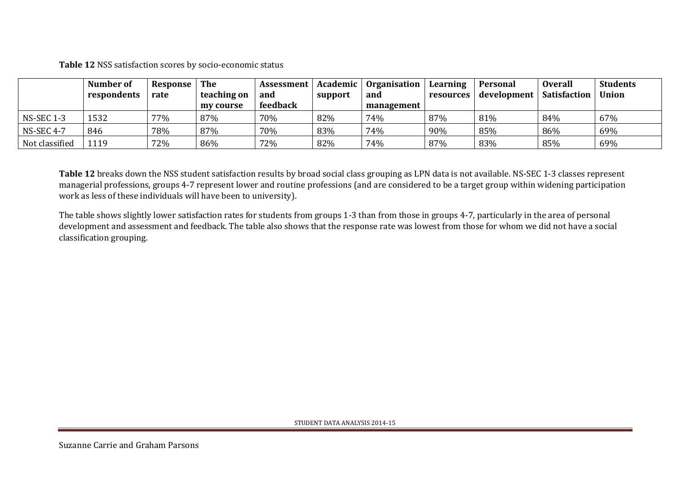**Table 12** NSS satisfaction scores by socio-economic status

|                   | Number of   | Response | The         | Assessment | Academic | <b>Organisation</b> | Learning         | Personal    | <b>Overall</b>      | <b>Students</b> |
|-------------------|-------------|----------|-------------|------------|----------|---------------------|------------------|-------------|---------------------|-----------------|
|                   | respondents | rate     | teaching on | and        | support  | and                 | <b>resources</b> | development | <b>Satisfaction</b> | Union           |
|                   |             |          | my course   | feedback   |          | management          |                  |             |                     |                 |
| <b>NS-SEC 1-3</b> | 1532        | 77%      | 87%         | 70%        | 82%      | 74%                 | 87%              | 81%         | 84%                 | 67%             |
| <b>NS-SEC 4-7</b> | 846         | 78%      | 87%         | 70%        | 83%      | 74%                 | 90%              | 85%         | 86%                 | 69%             |
| Not classified    | .119        | 72%      | 86%         | 72%        | 82%      | 74%                 | 87%              | 83%         | 85%                 | 69%             |

**Table 12** breaks down the NSS student satisfaction results by broad social class grouping as LPN data is not available. NS-SEC 1-3 classes represent managerial professions, groups 4-7 represent lower and routine professions (and are considered to be a target group within widening participation work as less of these individuals will have been to university).

The table shows slightly lower satisfaction rates for students from groups 1-3 than from those in groups 4-7, particularly in the area of personal development and assessment and feedback. The table also shows that the response rate was lowest from those for whom we did not have a social classification grouping.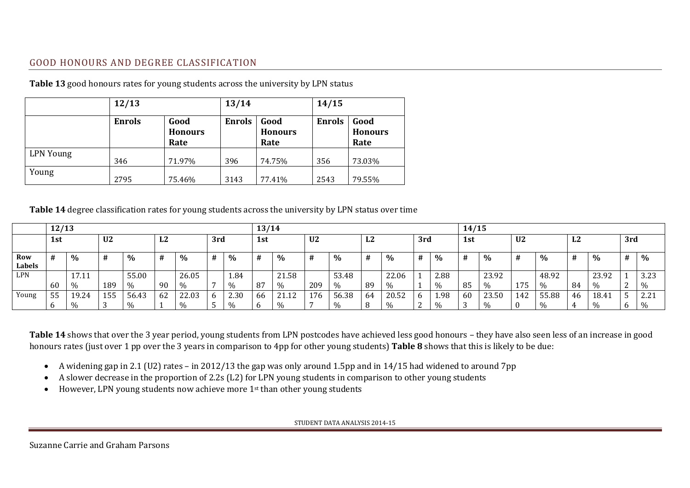#### GOOD HONOURS AND DEGREE CLASSIFICATION

|                  | 12/13         |                                | 13/14         |                                | 14/15         |                                |  |  |
|------------------|---------------|--------------------------------|---------------|--------------------------------|---------------|--------------------------------|--|--|
|                  | <b>Enrols</b> | Good<br><b>Honours</b><br>Rate | <b>Enrols</b> | Good<br><b>Honours</b><br>Rate | <b>Enrols</b> | Good<br><b>Honours</b><br>Rate |  |  |
| <b>LPN</b> Young | 346           | 71.97%                         | 396           | 74.75%                         | 356           | 73.03%                         |  |  |
| Young            | 2795          | 75.46%                         | 3143          | 77.41%                         | 2543          | 79.55%                         |  |  |

**Table 13** good honours rates for young students across the university by LPN status

#### **Table 14** degree classification rates for young students across the university by LPN status over time

<span id="page-11-0"></span>

|               | 12/13 |              |                |       |                |               |     | 13/14 |     |       |                |       |          | 14/15 |     |                      |     |               |                |       |          |               |     |              |
|---------------|-------|--------------|----------------|-------|----------------|---------------|-----|-------|-----|-------|----------------|-------|----------|-------|-----|----------------------|-----|---------------|----------------|-------|----------|---------------|-----|--------------|
|               | 1st   |              | U <sub>2</sub> |       | L <sub>2</sub> |               | 3rd |       | 1st |       | U <sub>2</sub> |       | ר ז<br>ឹ |       | 3rd |                      | 1st |               | U <sub>2</sub> |       | רי<br>LΖ |               | 3rd |              |
| Row<br>Labels | #     | %            | #              | $\%$  | #              | %             |     | $\%$  | #   | $\%$  | #              | $\%$  |          | $\%$  | #   | %                    |     | $\frac{0}{0}$ |                | $\%$  | #        | $\%$          | #   | %            |
| LPN           |       | .7.11        |                | 55.00 |                | 26.05         |     | 1.84  |     | 21.58 |                | 53.48 |          | 22.06 |     | 2.88                 |     | 23.92         |                | 48.92 |          | 23.92         |     | 3.23         |
|               | 60    | $\%$         | 189            | $\%$  | 90             | $\frac{0}{0}$ |     | 0/2   | 87  | $\%$  | 209            | %     | 89       | $\%$  |     | $v_{\alpha}$<br>,,,, | 85  | $\%$          | 175            | $\%$  | 84       | $\%$          |     | $\%$         |
| Young         | 55    | 19.24        | 155            | 56.43 | 62             | 22.03         | b   | 2.30  | 66  | 21.12 | 176            | 56.38 | 64       | 20.52 | b   | 1.98                 | 60  | 23.50         | 142            | 55.88 | 46       | 18.41         |     | 22.2<br>4.41 |
|               |       | $v_{\alpha}$ |                | 0/2   |                | $\%$          |     |       |     | $\%$  |                | $\%$  |          | %     | ∼   | $U_{\Omega}$         |     | $\%$          |                |       |          | $\frac{0}{0}$ |     | $\%$         |

**Table 14** shows that over the 3 year period, young students from LPN postcodes have achieved less good honours – they have also seen less of an increase in good honours rates (just over 1 pp over the 3 years in comparison to 4pp for other young students) **Table 8** shows that this is likely to be due:

- A widening gap in 2.1 (U2) rates in 2012/13 the gap was only around 1.5pp and in 14/15 had widened to around 7pp
- A slower decrease in the proportion of 2.2s (L2) for LPN young students in comparison to other young students
- However, LPN young students now achieve more 1<sup>st</sup> than other young students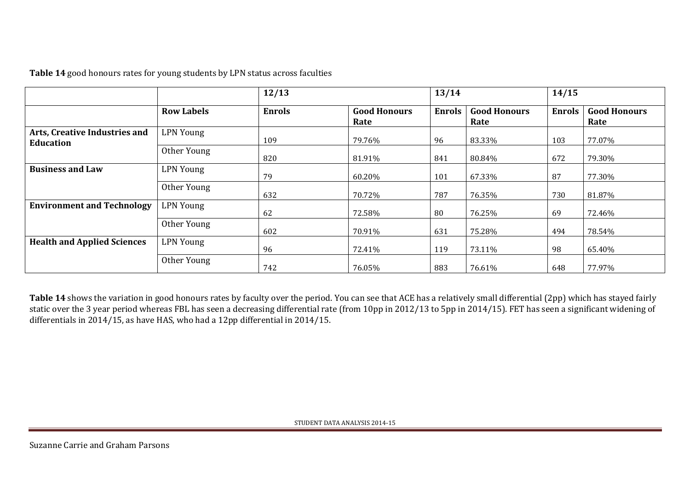| Table 14 good honours rates for young students by LPN status across faculties |  |  |  |
|-------------------------------------------------------------------------------|--|--|--|
|-------------------------------------------------------------------------------|--|--|--|

|                                                   |                   | 12/13         |                             |               |                             | 14/15         |                             |  |
|---------------------------------------------------|-------------------|---------------|-----------------------------|---------------|-----------------------------|---------------|-----------------------------|--|
|                                                   | <b>Row Labels</b> | <b>Enrols</b> | <b>Good Honours</b><br>Rate | <b>Enrols</b> | <b>Good Honours</b><br>Rate | <b>Enrols</b> | <b>Good Honours</b><br>Rate |  |
| Arts, Creative Industries and<br><b>Education</b> | <b>LPN Young</b>  | 109           | 79.76%                      | 96            | 83.33%                      | 103           | 77.07%                      |  |
|                                                   | Other Young       | 820           | 81.91%                      | 841           | 80.84%                      | 672           | 79.30%                      |  |
| <b>Business and Law</b>                           | <b>LPN Young</b>  | 79            | 60.20%                      | 101           | 67.33%                      | 87            | 77.30%                      |  |
|                                                   | Other Young       | 632           | 70.72%                      | 787           | 76.35%                      | 730           | 81.87%                      |  |
| <b>Environment and Technology</b>                 | <b>LPN Young</b>  | 62            | 72.58%                      | 80            | 76.25%                      | 69            | 72.46%                      |  |
|                                                   | Other Young       | 602           | 70.91%                      | 631           | 75.28%                      | 494           | 78.54%                      |  |
| <b>Health and Applied Sciences</b>                | <b>LPN Young</b>  | 96            | 72.41%                      | 119           | 73.11%                      | 98            | 65.40%                      |  |
|                                                   | Other Young       | 742           | 76.05%                      | 883           | 76.61%                      | 648           | 77.97%                      |  |

**Table 14** shows the variation in good honours rates by faculty over the period. You can see that ACE has a relatively small differential (2pp) which has stayed fairly static over the 3 year period whereas FBL has seen a decreasing differential rate (from 10pp in 2012/13 to 5pp in 2014/15). FET has seen a significant widening of differentials in 2014/15, as have HAS, who had a 12pp differential in 2014/15.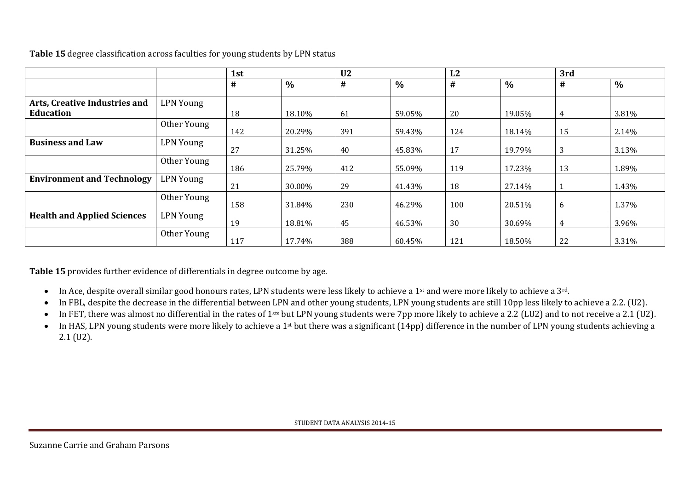|                                    |                  | 1st |        |     |        | L2  |        | 3rd |               |
|------------------------------------|------------------|-----|--------|-----|--------|-----|--------|-----|---------------|
|                                    |                  | #   | $\%$   | #   | $\%$   | #   | $\%$   | #   | $\frac{0}{0}$ |
| Arts, Creative Industries and      | <b>LPN Young</b> |     |        |     |        |     |        |     |               |
| Education                          |                  | 18  | 18.10% | 61  | 59.05% | 20  | 19.05% | 4   | 3.81%         |
|                                    | Other Young      | 142 | 20.29% | 391 | 59.43% | 124 | 18.14% | 15  | 2.14%         |
| <b>Business and Law</b>            | <b>LPN Young</b> | 27  | 31.25% | 40  | 45.83% | 17  | 19.79% | 3   | 3.13%         |
|                                    | Other Young      | 186 | 25.79% | 412 | 55.09% | 119 | 17.23% | 13  | 1.89%         |
| <b>Environment and Technology</b>  | LPN Young        | 21  | 30.00% | 29  | 41.43% | 18  | 27.14% |     | 1.43%         |
|                                    | Other Young      | 158 | 31.84% | 230 | 46.29% | 100 | 20.51% | 6   | 1.37%         |
| <b>Health and Applied Sciences</b> | <b>LPN Young</b> | 19  | 18.81% | 45  | 46.53% | 30  | 30.69% | 4   | 3.96%         |
|                                    | Other Young      | 117 | 17.74% | 388 | 60.45% | 121 | 18.50% | 22  | 3.31%         |

**Table 15** degree classification across faculties for young students by LPN status

**Table 15** provides further evidence of differentials in degree outcome by age.

- In Ace, despite overall similar good honours rates, LPN students were less likely to achieve a 1<sup>st</sup> and were more likely to achieve a 3<sup>rd</sup>.
- In FBL, despite the decrease in the differential between LPN and other young students, LPN young students are still 10pp less likely to achieve a 2.2. (U2).
- In FET, there was almost no differential in the rates of 1<sup>sts</sup> but LPN young students were 7pp more likely to achieve a 2.2 (LU2) and to not receive a 2.1 (U2).
- $\bullet$  In HAS, LPN young students were more likely to achieve a 1<sup>st</sup> but there was a significant (14pp) difference in the number of LPN young students achieving a 2.1 (U2).